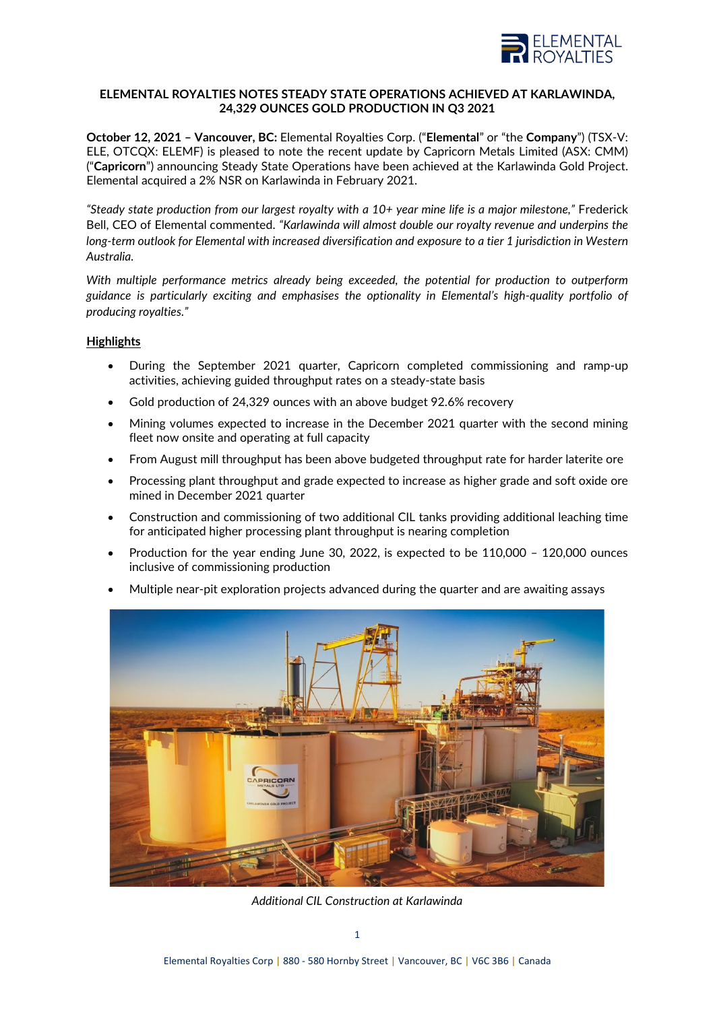

### **ELEMENTAL ROYALTIES NOTES STEADY STATE OPERATIONS ACHIEVED AT KARLAWINDA, 24,329 OUNCES GOLD PRODUCTION IN Q3 2021**

**October 12, 2021 – Vancouver, BC:** Elemental Royalties Corp. ("**Elemental**" or "the **Company**") (TSX-V: ELE, OTCQX: ELEMF) is pleased to note the recent update by Capricorn Metals Limited (ASX: CMM) ("**Capricorn**") announcing Steady State Operations have been achieved at the Karlawinda Gold Project. Elemental acquired a 2% NSR on Karlawinda in February 2021.

*"Steady state production from our largest royalty with a 10+ year mine life is a major milestone,"* Frederick Bell, CEO of Elemental commented. *"Karlawinda will almost double our royalty revenue and underpins the long-term outlook for Elemental with increased diversification and exposure to a tier 1 jurisdiction in Western Australia.* 

*With multiple performance metrics already being exceeded, the potential for production to outperform guidance is particularly exciting and emphasises the optionality in Elemental's high-quality portfolio of producing royalties."*

## **Highlights**

- During the September 2021 quarter, Capricorn completed commissioning and ramp-up activities, achieving guided throughput rates on a steady-state basis
- Gold production of 24,329 ounces with an above budget 92.6% recovery
- Mining volumes expected to increase in the December 2021 quarter with the second mining fleet now onsite and operating at full capacity
- From August mill throughput has been above budgeted throughput rate for harder laterite ore
- Processing plant throughput and grade expected to increase as higher grade and soft oxide ore mined in December 2021 quarter
- Construction and commissioning of two additional CIL tanks providing additional leaching time for anticipated higher processing plant throughput is nearing completion
- Production for the year ending June 30, 2022, is expected to be 110,000 120,000 ounces inclusive of commissioning production





*Additional CIL Construction at Karlawinda*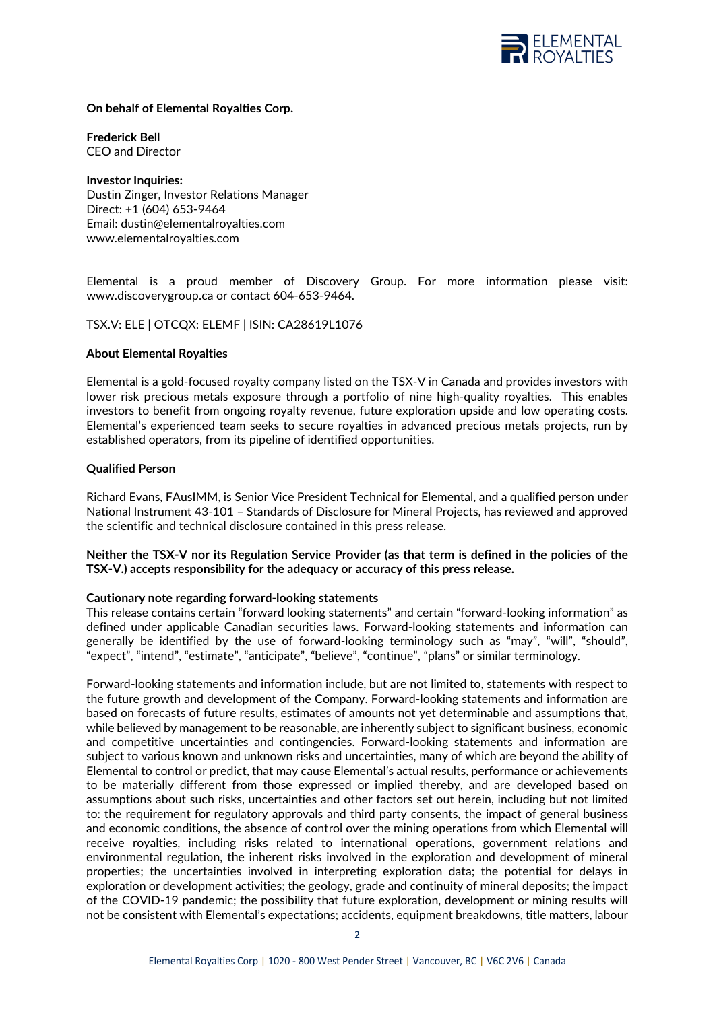

## **On behalf of Elemental Royalties Corp.**

**Frederick Bell** CEO and Director

**Investor Inquiries:** Dustin Zinger, Investor Relations Manager Direct: +1 (604) 653-9464 Email: [dustin@elementalroyalties.com](mailto:dustin@elementalroyalties.com) [www.elementalroyalties.com](http://www.elementalroyalties.com/)

Elemental is a proud member of Discovery Group. For more information please visit: [www.discoverygroup.ca](http://www.discoverygroup.ca/) or contact 604-653-9464.

TSX.V: ELE | OTCQX: ELEMF | ISIN: CA28619L1076

## **About Elemental Royalties**

Elemental is a gold-focused royalty company listed on the TSX-V in Canada and provides investors with lower risk precious metals exposure through a portfolio of nine high-quality royalties. This enables investors to benefit from ongoing royalty revenue, future exploration upside and low operating costs. Elemental's experienced team seeks to secure royalties in advanced precious metals projects, run by established operators, from its pipeline of identified opportunities.

## **Qualified Person**

Richard Evans, FAusIMM, is Senior Vice President Technical for Elemental, and a qualified person under National Instrument 43-101 – Standards of Disclosure for Mineral Projects, has reviewed and approved the scientific and technical disclosure contained in this press release.

## **Neither the TSX-V nor its Regulation Service Provider (as that term is defined in the policies of the TSX-V.) accepts responsibility for the adequacy or accuracy of this press release.**

# **Cautionary note regarding forward-looking statements**

This release contains certain "forward looking statements" and certain "forward-looking information" as defined under applicable Canadian securities laws. Forward-looking statements and information can generally be identified by the use of forward-looking terminology such as "may", "will", "should", "expect", "intend", "estimate", "anticipate", "believe", "continue", "plans" or similar terminology.

Forward-looking statements and information include, but are not limited to, statements with respect to the future growth and development of the Company. Forward-looking statements and information are based on forecasts of future results, estimates of amounts not yet determinable and assumptions that, while believed by management to be reasonable, are inherently subject to significant business, economic and competitive uncertainties and contingencies. Forward-looking statements and information are subject to various known and unknown risks and uncertainties, many of which are beyond the ability of Elemental to control or predict, that may cause Elemental's actual results, performance or achievements to be materially different from those expressed or implied thereby, and are developed based on assumptions about such risks, uncertainties and other factors set out herein, including but not limited to: the requirement for regulatory approvals and third party consents, the impact of general business and economic conditions, the absence of control over the mining operations from which Elemental will receive royalties, including risks related to international operations, government relations and environmental regulation, the inherent risks involved in the exploration and development of mineral properties; the uncertainties involved in interpreting exploration data; the potential for delays in exploration or development activities; the geology, grade and continuity of mineral deposits; the impact of the COVID-19 pandemic; the possibility that future exploration, development or mining results will not be consistent with Elemental's expectations; accidents, equipment breakdowns, title matters, labour